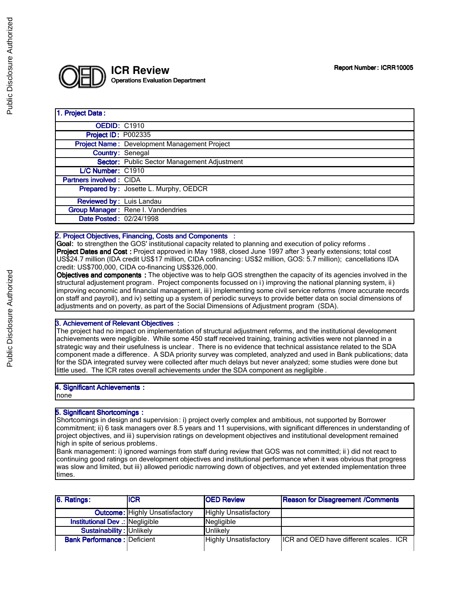

#### 1. Project Data:

| <b>OEDID: C1910</b>             |                                              |
|---------------------------------|----------------------------------------------|
| <b>Project ID: P002335</b>      |                                              |
|                                 | Project Name: Development Management Project |
| <b>Country: Senegal</b>         |                                              |
|                                 | Sector: Public Sector Management Adjustment  |
| L/C Number: C1910               |                                              |
| <b>Partners involved: CIDA</b>  |                                              |
|                                 | Prepared by: Josette L. Murphy, OEDCR        |
| <b>Reviewed by: Luis Landau</b> |                                              |
|                                 | Group Manager: Rene I. Vandendries           |
| Date Posted: 02/24/1998         |                                              |
|                                 |                                              |

### 2. Project Objectives, Financing, Costs and Components :

Goal: to strengthen the GOS' institutional capacity related to planning and execution of policy reforms. Project Dates and Cost : Project approved in May 1988, closed June 1997 after 3 yearly extensions; total cost US\$24.7 million (IDA credit US\$17 million, CIDA cofinancing: US\$2 million, GOS: 5.7 million); cancellations IDA credit: US\$700,000, CIDA co-financing US\$326,000.

Objectives and components : The objective was to help GOS strengthen the capacity of its agencies involved in the structural adjustement program. Project components focussed on i) improving the national planning system, ii) improving economic and financial management, iii) implementing some civil service reforms (more accurate records on staff and payroll), and iv) setting up a system of periodic surveys to provide better data on social dimensions of adjustments and on poverty, as part of the Social Dimensions of Adjustment program (SDA).

### 3. Achievement of Relevant Objectives :

The project had no impact on implementation of structural adjustment reforms, and the institutional development achievements were negligible. While some 450 staff received training, training activities were not planned in a strategic way and their usefulness is unclear . There is no evidence that technical assistance related to the SDA component made a difference. A SDA priority survey was completed, analyzed and used in Bank publications; data for the SDA integrated survey were collected after much delays but never analyzed; some studies were done but little used. The ICR rates overall achievements under the SDA component as negligible .

#### 4. Significant Achievements : none

## 5. Significant Shortcomings :

Shortcomings in design and supervision : i) project overly complex and ambitious, not supported by Borrower commitment; ii) 6 task managers over 8.5 years and 11 supervisions, with significant differences in understanding of project objectives, and iii) supervision ratings on development objectives and institutional development remained high in spite of serious problems.

Bank management: i) ignored warnings from staff during review that GOS was not committed; ii ) did not react to continuing good ratings on development objectives and institutional performance when it was obvious that progress was slow and limited, but iii) allowed periodic narrowing down of objectives, and yet extended implementation three times.

| 6. Ratings:                        | <b>ICR</b>                            | <b>IOED Review</b>           | <b>Reason for Disagreement /Comments</b> |
|------------------------------------|---------------------------------------|------------------------------|------------------------------------------|
|                                    | <b>Outcome:</b> Highly Unsatisfactory | <b>Highly Unsatisfactory</b> |                                          |
| Institutional Dev .: Negligible    |                                       | Negligible                   |                                          |
| Sustainability: Unlikely           |                                       | <b>Unlikelv</b>              |                                          |
| <b>Bank Performance: Deficient</b> |                                       | <b>Highly Unsatisfactory</b> | ICR and OED have different scales. ICR   |